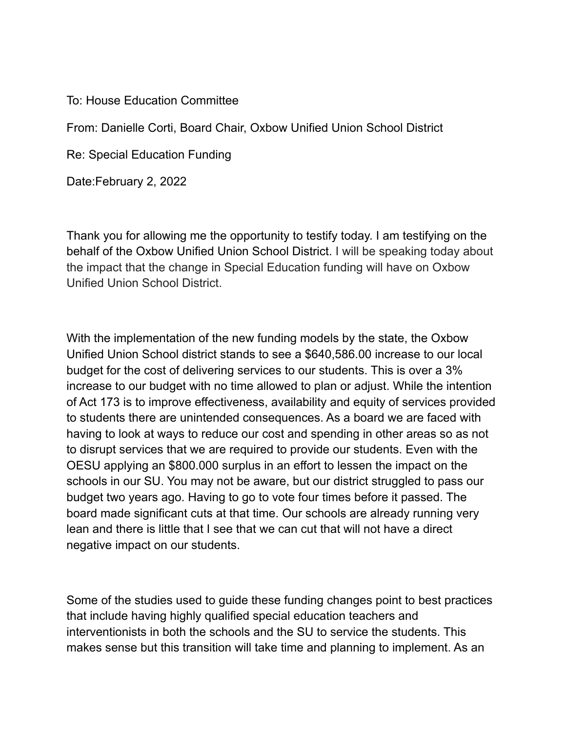## To: House Education Committee

From: Danielle Corti, Board Chair, Oxbow Unified Union School District

Re: Special Education Funding

Date:February 2, 2022

Thank you for allowing me the opportunity to testify today. I am testifying on the behalf of the Oxbow Unified Union School District. I will be speaking today about the impact that the change in Special Education funding will have on Oxbow Unified Union School District.

With the implementation of the new funding models by the state, the Oxbow Unified Union School district stands to see a \$640,586.00 increase to our local budget for the cost of delivering services to our students. This is over a 3% increase to our budget with no time allowed to plan or adjust. While the intention of Act 173 is to improve effectiveness, availability and equity of services provided to students there are unintended consequences. As a board we are faced with having to look at ways to reduce our cost and spending in other areas so as not to disrupt services that we are required to provide our students. Even with the OESU applying an \$800.000 surplus in an effort to lessen the impact on the schools in our SU. You may not be aware, but our district struggled to pass our budget two years ago. Having to go to vote four times before it passed. The board made significant cuts at that time. Our schools are already running very lean and there is little that I see that we can cut that will not have a direct negative impact on our students.

Some of the studies used to guide these funding changes point to best practices that include having highly qualified special education teachers and interventionists in both the schools and the SU to service the students. This makes sense but this transition will take time and planning to implement. As an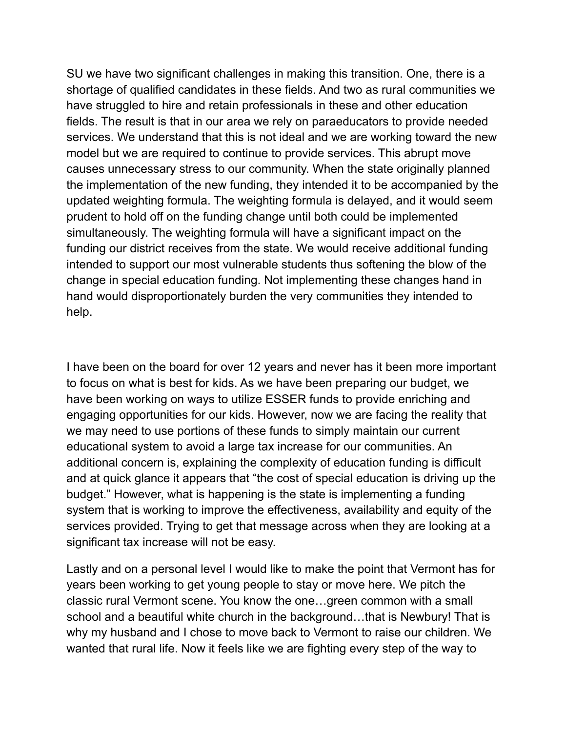SU we have two significant challenges in making this transition. One, there is a shortage of qualified candidates in these fields. And two as rural communities we have struggled to hire and retain professionals in these and other education fields. The result is that in our area we rely on paraeducators to provide needed services. We understand that this is not ideal and we are working toward the new model but we are required to continue to provide services. This abrupt move causes unnecessary stress to our community. When the state originally planned the implementation of the new funding, they intended it to be accompanied by the updated weighting formula. The weighting formula is delayed, and it would seem prudent to hold off on the funding change until both could be implemented simultaneously. The weighting formula will have a significant impact on the funding our district receives from the state. We would receive additional funding intended to support our most vulnerable students thus softening the blow of the change in special education funding. Not implementing these changes hand in hand would disproportionately burden the very communities they intended to help.

I have been on the board for over 12 years and never has it been more important to focus on what is best for kids. As we have been preparing our budget, we have been working on ways to utilize ESSER funds to provide enriching and engaging opportunities for our kids. However, now we are facing the reality that we may need to use portions of these funds to simply maintain our current educational system to avoid a large tax increase for our communities. An additional concern is, explaining the complexity of education funding is difficult and at quick glance it appears that "the cost of special education is driving up the budget." However, what is happening is the state is implementing a funding system that is working to improve the effectiveness, availability and equity of the services provided. Trying to get that message across when they are looking at a significant tax increase will not be easy.

Lastly and on a personal level I would like to make the point that Vermont has for years been working to get young people to stay or move here. We pitch the classic rural Vermont scene. You know the one…green common with a small school and a beautiful white church in the background…that is Newbury! That is why my husband and I chose to move back to Vermont to raise our children. We wanted that rural life. Now it feels like we are fighting every step of the way to